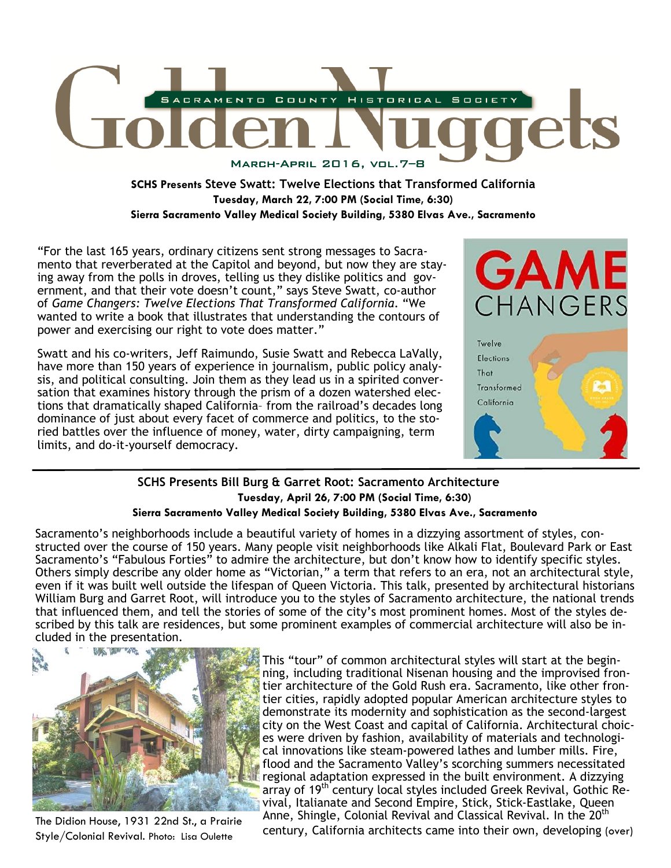

**SCHS Presents Steve Swatt: Twelve Elections that Transformed California Tuesday, March 22, 7:00 PM (Social Time, 6:30) Sierra Sacramento Valley Medical Society Building, 5380 Elvas Ave., Sacramento** 

"For the last 165 years, ordinary citizens sent strong messages to Sacramento that reverberated at the Capitol and beyond, but now they are staying away from the polls in droves, telling us they dislike politics and government, and that their vote doesn't count," says Steve Swatt, co-author of *Game Changers: Twelve Elections That Transformed California*. "We wanted to write a book that illustrates that understanding the contours of power and exercising our right to vote does matter."

Swatt and his co-writers, Jeff Raimundo, Susie Swatt and Rebecca LaVally, have more than 150 years of experience in journalism, public policy analysis, and political consulting. Join them as they lead us in a spirited conversation that examines history through the prism of a dozen watershed elections that dramatically shaped California– from the railroad's decades long dominance of just about every facet of commerce and politics, to the storied battles over the influence of money, water, dirty campaigning, term limits, and do-it-yourself democracy.



# **SCHS Presents Bill Burg & Garret Root: Sacramento Architecture Tuesday, April 26, 7:00 PM (Social Time, 6:30) Sierra Sacramento Valley Medical Society Building, 5380 Elvas Ave., Sacramento**

Sacramento's neighborhoods include a beautiful variety of homes in a dizzying assortment of styles, constructed over the course of 150 years. Many people visit neighborhoods like Alkali Flat, Boulevard Park or East Sacramento's "Fabulous Forties" to admire the architecture, but don't know how to identify specific styles. Others simply describe any older home as "Victorian," a term that refers to an era, not an architectural style, even if it was built well outside the lifespan of Queen Victoria. This talk, presented by architectural historians William Burg and Garret Root, will introduce you to the styles of Sacramento architecture, the national trends that influenced them, and tell the stories of some of the city's most prominent homes. Most of the styles described by this talk are residences, but some prominent examples of commercial architecture will also be included in the presentation.



The Didion House, 1931 22nd St., a Prairie Style/Colonial Revival. Photo: Lisa Oulette

This "tour" of common architectural styles will start at the beginning, including traditional Nisenan housing and the improvised frontier architecture of the Gold Rush era. Sacramento, like other frontier cities, rapidly adopted popular American architecture styles to demonstrate its modernity and sophistication as the second-largest city on the West Coast and capital of California. Architectural choices were driven by fashion, availability of materials and technological innovations like steam-powered lathes and lumber mills. Fire, flood and the Sacramento Valley's scorching summers necessitated regional adaptation expressed in the built environment. A dizzying array of 19<sup>th</sup> century local styles included Greek Revival, Gothic Revival, Italianate and Second Empire, Stick, Stick-Eastlake, Queen Anne, Shingle, Colonial Revival and Classical Revival. In the 20<sup>th</sup>

century, California architects came into their own, developing (over)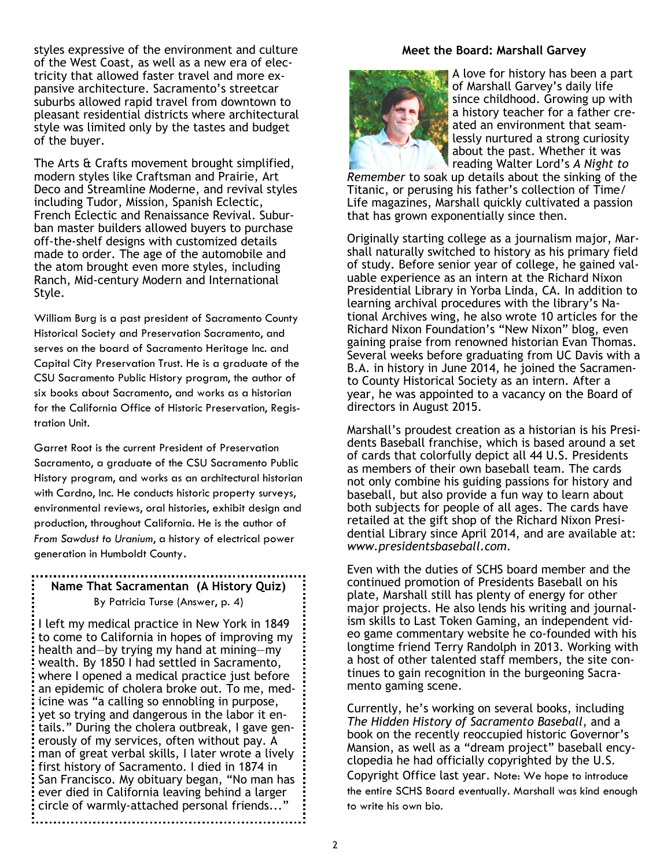styles expressive of the environment and culture of the West Coast, as well as a new era of electricity that allowed faster travel and more expansive architecture. Sacramento's streetcar suburbs allowed rapid travel from downtown to pleasant residential districts where architectural style was limited only by the tastes and budget of the buyer.

The Arts & Crafts movement brought simplified, modern styles like Craftsman and Prairie, Art Deco and Streamline Moderne, and revival styles including Tudor, Mission, Spanish Eclectic, French Eclectic and Renaissance Revival. Suburban master builders allowed buyers to purchase off-the-shelf designs with customized details made to order. The age of the automobile and the atom brought even more styles, including Ranch, Mid-century Modern and International Style.

William Burg is a past president of Sacramento County Historical Society and Preservation Sacramento, and serves on the board of Sacramento Heritage Inc. and Capital City Preservation Trust. He is a graduate of the CSU Sacramento Public History program, the author of six books about Sacramento, and works as a historian for the California Office of Historic Preservation, Registration Unit.

Garret Root is the current President of Preservation Sacramento, a graduate of the CSU Sacramento Public History program, and works as an architectural historian with Cardno, Inc. He conducts historic property surveys, environmental reviews, oral histories, exhibit design and production, throughout California. He is the author of *From Sawdust to Uranium*, a history of electrical power generation in Humboldt County.

# **Name That Sacramentan (A History Quiz)**  By Patricia Turse (Answer, p. 4)

I left my medical practice in New York in 1849 to come to California in hopes of improving my health and—by trying my hand at mining—my wealth. By 1850 I had settled in Sacramento, where I opened a medical practice just before an epidemic of cholera broke out. To me, medicine was "a calling so ennobling in purpose, yet so trying and dangerous in the labor it entails." During the cholera outbreak, I gave generously of my services, often without pay. A man of great verbal skills, I later wrote a lively first history of Sacramento. I died in 1874 in San Francisco. My obituary began, "No man has ever died in California leaving behind a larger circle of warmly-attached personal friends..." 

## **Meet the Board: Marshall Garvey**



A love for history has been a part of Marshall Garvey's daily life since childhood. Growing up with a history teacher for a father created an environment that seamlessly nurtured a strong curiosity about the past. Whether it was reading Walter Lord's *A Night to* 

*Remember* to soak up details about the sinking of the Titanic, or perusing his father's collection of Time/ Life magazines, Marshall quickly cultivated a passion that has grown exponentially since then.

Originally starting college as a journalism major, Marshall naturally switched to history as his primary field of study. Before senior year of college, he gained valuable experience as an intern at the Richard Nixon Presidential Library in Yorba Linda, CA. In addition to learning archival procedures with the library's National Archives wing, he also wrote 10 articles for the Richard Nixon Foundation's "New Nixon" blog, even gaining praise from renowned historian Evan Thomas. Several weeks before graduating from UC Davis with a B.A. in history in June 2014, he joined the Sacramento County Historical Society as an intern. After a year, he was appointed to a vacancy on the Board of directors in August 2015.

Marshall's proudest creation as a historian is his Presidents Baseball franchise, which is based around a set of cards that colorfully depict all 44 U.S. Presidents as members of their own baseball team. The cards not only combine his guiding passions for history and baseball, but also provide a fun way to learn about both subjects for people of all ages. The cards have retailed at the gift shop of the Richard Nixon Presidential Library since April 2014, and are available at: *www.presidentsbaseball.com*.

Even with the duties of SCHS board member and the continued promotion of Presidents Baseball on his plate, Marshall still has plenty of energy for other major projects. He also lends his writing and journalism skills to Last Token Gaming, an independent video game commentary website he co-founded with his longtime friend Terry Randolph in 2013. Working with a host of other talented staff members, the site continues to gain recognition in the burgeoning Sacramento gaming scene.

Currently, he's working on several books, including *The Hidden History of Sacramento Baseball*, and a book on the recently reoccupied historic Governor's Mansion, as well as a "dream project" baseball encyclopedia he had officially copyrighted by the U.S. Copyright Office last year. Note: We hope to introduce the entire SCHS Board eventually. Marshall was kind enough to write his own bio.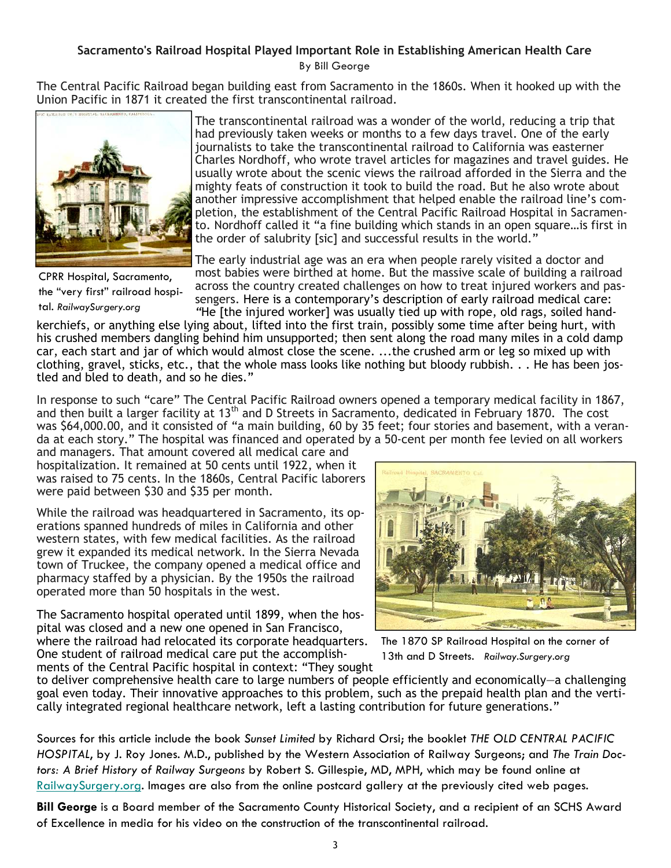## **Sacramento's Railroad Hospital Played Important Role in Establishing American Health Care**

By Bill George

The Central Pacific Railroad began building east from Sacramento in the 1860s. When it hooked up with the Union Pacific in 1871 it created the first transcontinental railroad.



CPRR Hospital, Sacramento, the "very first" railroad hospital. *RailwaySurgery.org* 

The transcontinental railroad was a wonder of the world, reducing a trip that had previously taken weeks or months to a few days travel. One of the early journalists to take the transcontinental railroad to California was easterner Charles Nordhoff, who wrote travel articles for magazines and travel guides. He usually wrote about the scenic views the railroad afforded in the Sierra and the mighty feats of construction it took to build the road. But he also wrote about another impressive accomplishment that helped enable the railroad line's completion, the establishment of the Central Pacific Railroad Hospital in Sacramento. Nordhoff called it "a fine building which stands in an open square…is first in the order of salubrity [sic] and successful results in the world."

The early industrial age was an era when people rarely visited a doctor and most babies were birthed at home. But the massive scale of building a railroad across the country created challenges on how to treat injured workers and passengers. Here is a contemporary's description of early railroad medical care: *"*He [the injured worker] was usually tied up with rope, old rags, soiled hand-

kerchiefs, or anything else lying about, lifted into the first train, possibly some time after being hurt, with his crushed members dangling behind him unsupported; then sent along the road many miles in a cold damp car, each start and jar of which would almost close the scene. ...the crushed arm or leg so mixed up with clothing, gravel, sticks, etc., that the whole mass looks like nothing but bloody rubbish. . . He has been jostled and bled to death, and so he dies."

In response to such "care" The Central Pacific Railroad owners opened a temporary medical facility in 1867, and then built a larger facility at 13<sup>th</sup> and D Streets in Sacramento, dedicated in February 1870. The cost was \$64,000.00, and it consisted of "a main building, 60 by 35 feet; four stories and basement, with a veranda at each story." The hospital was financed and operated by a 50-cent per month fee levied on all workers

and managers. That amount covered all medical care and hospitalization. It remained at 50 cents until 1922, when it was raised to 75 cents. In the 1860s, Central Pacific laborers were paid between \$30 and \$35 per month.

While the railroad was headquartered in Sacramento, its operations spanned hundreds of miles in California and other western states, with few medical facilities. As the railroad grew it expanded its medical network. In the Sierra Nevada town of Truckee, the company opened a medical office and pharmacy staffed by a physician. By the 1950s the railroad operated more than 50 hospitals in the west.

The Sacramento hospital operated until 1899, when the hospital was closed and a new one opened in San Francisco, where the railroad had relocated its corporate headquarters. One student of railroad medical care put the accomplish-

The 1870 SP Railroad Hospital on the corner of 13th and D Streets. *Railway.Surgery.org*

ments of the Central Pacific hospital in context: "They sought to deliver comprehensive health care to large numbers of people efficiently and economically—a challenging goal even today. Their innovative approaches to this problem, such as the prepaid health plan and the vertically integrated regional healthcare network, left a lasting contribution for future generations."

Sources for this article include the book *Sunset Limited* by Richard Orsi; the booklet *THE OLD CENTRAL PACIFIC HOSPITAL*, by J. Roy Jones. M.D., published by the Western Association of Railway Surgeons; and *The Train Doctors: A Brief History of Railway Surgeons* by Robert S. Gillespie, MD, MPH, which may be found online at RailwaySurgery.org. Images are also from the online postcard gallery at the previously cited web pages.

**Bill George** is a Board member of the Sacramento County Historical Society, and a recipient of an SCHS Award of Excellence in media for his video on the construction of the transcontinental railroad.